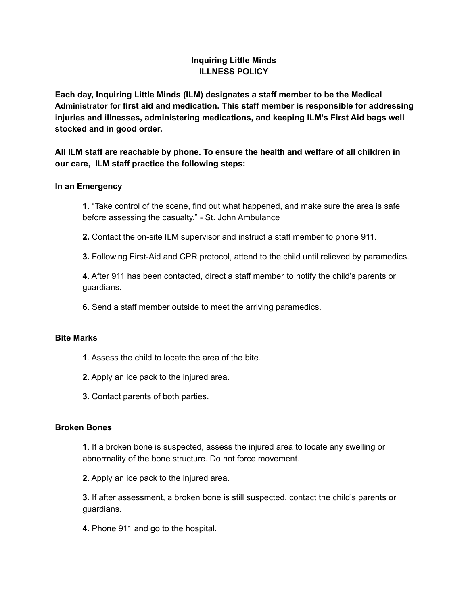# **Inquiring Little Minds ILLNESS POLICY**

**Each day, Inquiring Little Minds (ILM) designates a staff member to be the Medical Administrator for first aid and medication. This staff member is responsible for addressing injuries and illnesses, administering medications, and keeping ILM's First Aid bags well stocked and in good order.**

**All ILM staff are reachable by phone. To ensure the health and welfare of all children in our care, ILM staff practice the following steps:**

# **In an Emergency**

**1**. "Take control of the scene, find out what happened, and make sure the area is safe before assessing the casualty." - St. John Ambulance

**2.** Contact the on-site ILM supervisor and instruct a staff member to phone 911.

**3.** Following First-Aid and CPR protocol, attend to the child until relieved by paramedics.

**4**. After 911 has been contacted, direct a staff member to notify the child's parents or guardians.

**6.** Send a staff member outside to meet the arriving paramedics.

# **Bite Marks**

- **1**. Assess the child to locate the area of the bite.
- **2**. Apply an ice pack to the injured area.
- **3**. Contact parents of both parties.

#### **Broken Bones**

**1**. If a broken bone is suspected, assess the injured area to locate any swelling or abnormality of the bone structure. Do not force movement.

**2**. Apply an ice pack to the injured area.

**3**. If after assessment, a broken bone is still suspected, contact the child's parents or guardians.

**4**. Phone 911 and go to the hospital.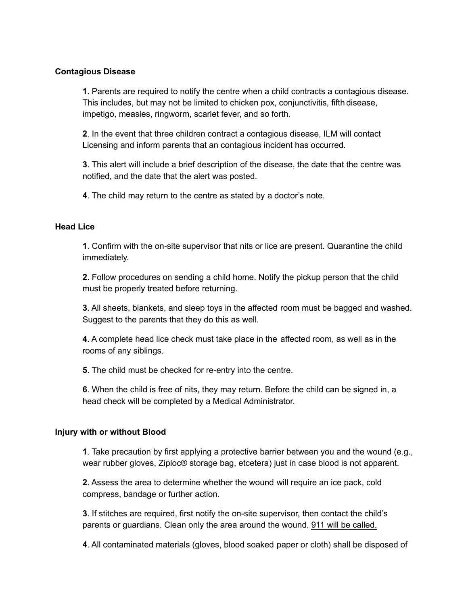### **Contagious Disease**

**1**. Parents are required to notify the centre when a child contracts a contagious disease. This includes, but may not be limited to chicken pox, conjunctivitis, fifth disease, impetigo, measles, ringworm, scarlet fever, and so forth.

**2**. In the event that three children contract a contagious disease, ILM will contact Licensing and inform parents that an contagious incident has occurred.

**3**. This alert will include a brief description of the disease, the date that the centre was notified, and the date that the alert was posted.

**4**. The child may return to the centre as stated by a doctor's note.

# **Head Lice**

**1**. Confirm with the on-site supervisor that nits or lice are present. Quarantine the child immediately.

**2**. Follow procedures on sending a child home. Notify the pickup person that the child must be properly treated before returning.

**3**. All sheets, blankets, and sleep toys in the affected room must be bagged and washed. Suggest to the parents that they do this as well.

**4**. A complete head lice check must take place in the affected room, as well as in the rooms of any siblings.

**5**. The child must be checked for re-entry into the centre.

**6**. When the child is free of nits, they may return. Before the child can be signed in, a head check will be completed by a Medical Administrator.

#### **Injury with or without Blood**

**1**. Take precaution by first applying a protective barrier between you and the wound (e.g., wear rubber gloves, Ziploc® storage bag, etcetera) just in case blood is not apparent.

**2**. Assess the area to determine whether the wound will require an ice pack, cold compress, bandage or further action.

**3**. If stitches are required, first notify the on-site supervisor, then contact the child's parents or guardians. Clean only the area around the wound. 911 will be called.

**4**. All contaminated materials (gloves, blood soaked paper or cloth) shall be disposed of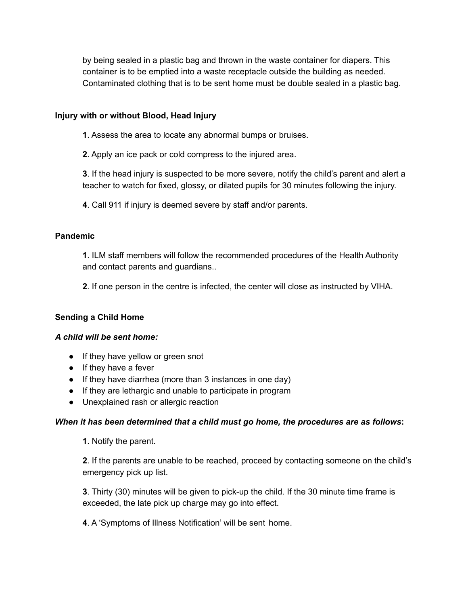by being sealed in a plastic bag and thrown in the waste container for diapers. This container is to be emptied into a waste receptacle outside the building as needed. Contaminated clothing that is to be sent home must be double sealed in a plastic bag.

# **Injury with or without Blood, Head Injury**

**1**. Assess the area to locate any abnormal bumps or bruises.

**2**. Apply an ice pack or cold compress to the injured area.

**3**. If the head injury is suspected to be more severe, notify the child's parent and alert a teacher to watch for fixed, glossy, or dilated pupils for 30 minutes following the injury.

**4**. Call 911 if injury is deemed severe by staff and/or parents.

### **Pandemic**

**1**. ILM staff members will follow the recommended procedures of the Health Authority and contact parents and guardians..

**2**. If one person in the centre is infected, the center will close as instructed by VIHA.

#### **Sending a Child Home**

#### *A child will be sent home:*

- If they have yellow or green snot
- If they have a fever
- If they have diarrhea (more than 3 instances in one day)
- If they are lethargic and unable to participate in program
- Unexplained rash or allergic reaction

#### *When it has been determined that a child must go home, the procedures are as follows***:**

**1**. Notify the parent.

**2**. If the parents are unable to be reached, proceed by contacting someone on the child's emergency pick up list.

**3**. Thirty (30) minutes will be given to pick-up the child. If the 30 minute time frame is exceeded, the late pick up charge may go into effect.

**4**. A 'Symptoms of Illness Notification' will be sent home.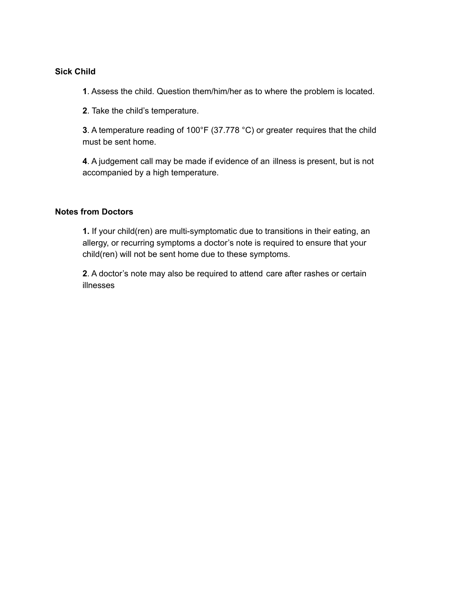#### **Sick Child**

**1**. Assess the child. Question them/him/her as to where the problem is located.

**2**. Take the child's temperature.

**3**. A temperature reading of 100°F (37.778 °C) or greater requires that the child must be sent home.

**4**. A judgement call may be made if evidence of an illness is present, but is not accompanied by a high temperature.

#### **Notes from Doctors**

**1.** If your child(ren) are multi-symptomatic due to transitions in their eating, an allergy, or recurring symptoms a doctor's note is required to ensure that your child(ren) will not be sent home due to these symptoms.

**2**. A doctor's note may also be required to attend care after rashes or certain illnesses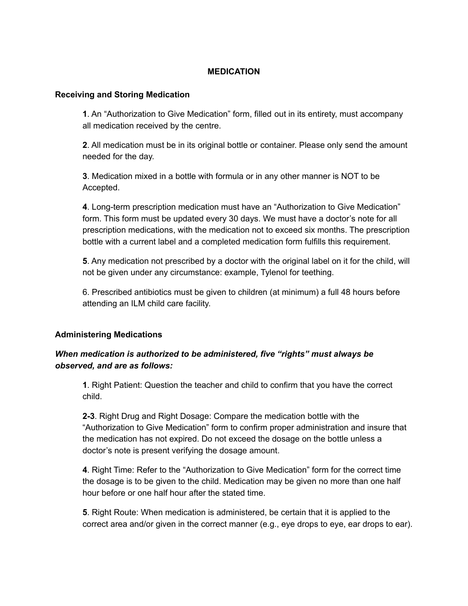# **MEDICATION**

#### **Receiving and Storing Medication**

**1**. An "Authorization to Give Medication" form, filled out in its entirety, must accompany all medication received by the centre.

**2**. All medication must be in its original bottle or container. Please only send the amount needed for the day.

**3**. Medication mixed in a bottle with formula or in any other manner is NOT to be Accepted.

**4**. Long-term prescription medication must have an "Authorization to Give Medication" form. This form must be updated every 30 days. We must have a doctor's note for all prescription medications, with the medication not to exceed six months. The prescription bottle with a current label and a completed medication form fulfills this requirement.

**5**. Any medication not prescribed by a doctor with the original label on it for the child, will not be given under any circumstance: example, Tylenol for teething.

6. Prescribed antibiotics must be given to children (at minimum) a full 48 hours before attending an ILM child care facility.

#### **Administering Medications**

# *When medication is authorized to be administered, five "rights" must always be observed, and are as follows:*

**1**. Right Patient: Question the teacher and child to confirm that you have the correct child.

**2-3**. Right Drug and Right Dosage: Compare the medication bottle with the "Authorization to Give Medication" form to confirm proper administration and insure that the medication has not expired. Do not exceed the dosage on the bottle unless a doctor's note is present verifying the dosage amount.

**4**. Right Time: Refer to the "Authorization to Give Medication" form for the correct time the dosage is to be given to the child. Medication may be given no more than one half hour before or one half hour after the stated time.

**5**. Right Route: When medication is administered, be certain that it is applied to the correct area and/or given in the correct manner (e.g., eye drops to eye, ear drops to ear).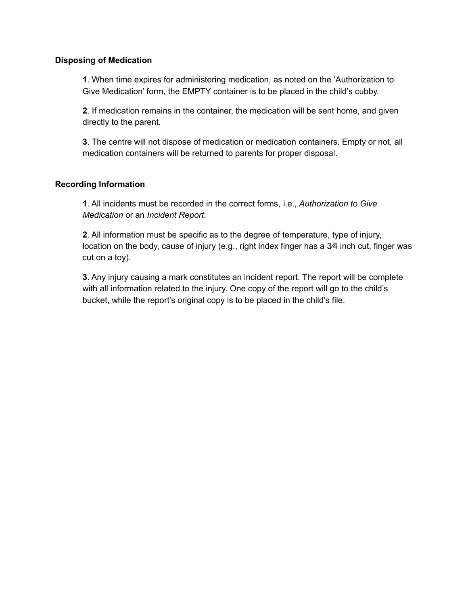#### **Disposing of Medication**

**1**. When time expires for administering medication, as noted on the 'Authorization to Give Medication' form, the EMPTY container is to be placed in the child's cubby.

**2**. If medication remains in the container, the medication will be sent home, and given directly to the parent.

**3**. The centre will not dispose of medication or medication containers. Empty or not, all medication containers will be returned to parents for proper disposal.

# **Recording Information**

**1**. All incidents must be recorded in the correct forms, i.e., *Authorization to Give Medication* or an *Incident Report*.

**2**. All information must be specific as to the degree of temperature, type of injury, location on the body, cause of injury (e.g., right index finger has a 3⁄4 inch cut, finger was cut on a toy).

**3**. Any injury causing a mark constitutes an incident report. The report will be complete with all information related to the injury. One copy of the report will go to the child's bucket, while the report's original copy is to be placed in the child's file.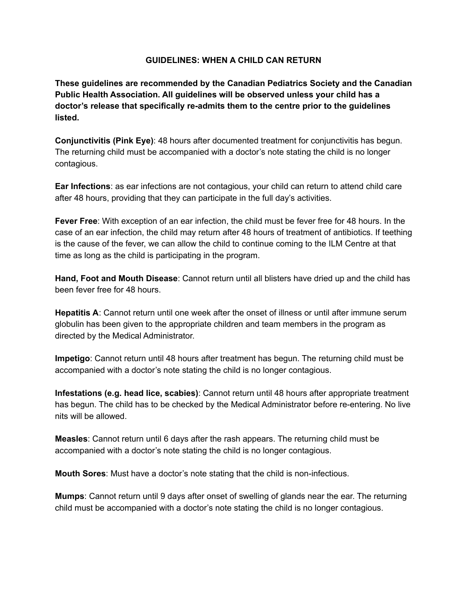#### **GUIDELINES: WHEN A CHILD CAN RETURN**

**These guidelines are recommended by the Canadian Pediatrics Society and the Canadian Public Health Association. All guidelines will be observed unless your child has a doctor's release that specifically re-admits them to the centre prior to the guidelines listed.**

**Conjunctivitis (Pink Eye)**: 48 hours after documented treatment for conjunctivitis has begun. The returning child must be accompanied with a doctor's note stating the child is no longer contagious.

**Ear Infections**: as ear infections are not contagious, your child can return to attend child care after 48 hours, providing that they can participate in the full day's activities.

**Fever Free**: With exception of an ear infection, the child must be fever free for 48 hours. In the case of an ear infection, the child may return after 48 hours of treatment of antibiotics. If teething is the cause of the fever, we can allow the child to continue coming to the ILM Centre at that time as long as the child is participating in the program.

**Hand, Foot and Mouth Disease**: Cannot return until all blisters have dried up and the child has been fever free for 48 hours.

**Hepatitis A**: Cannot return until one week after the onset of illness or until after immune serum globulin has been given to the appropriate children and team members in the program as directed by the Medical Administrator.

**Impetigo**: Cannot return until 48 hours after treatment has begun. The returning child must be accompanied with a doctor's note stating the child is no longer contagious.

**Infestations (e.g. head lice, scabies)**: Cannot return until 48 hours after appropriate treatment has begun. The child has to be checked by the Medical Administrator before re-entering. No live nits will be allowed.

**Measles**: Cannot return until 6 days after the rash appears. The returning child must be accompanied with a doctor's note stating the child is no longer contagious.

**Mouth Sores**: Must have a doctor's note stating that the child is non-infectious.

**Mumps**: Cannot return until 9 days after onset of swelling of glands near the ear. The returning child must be accompanied with a doctor's note stating the child is no longer contagious.